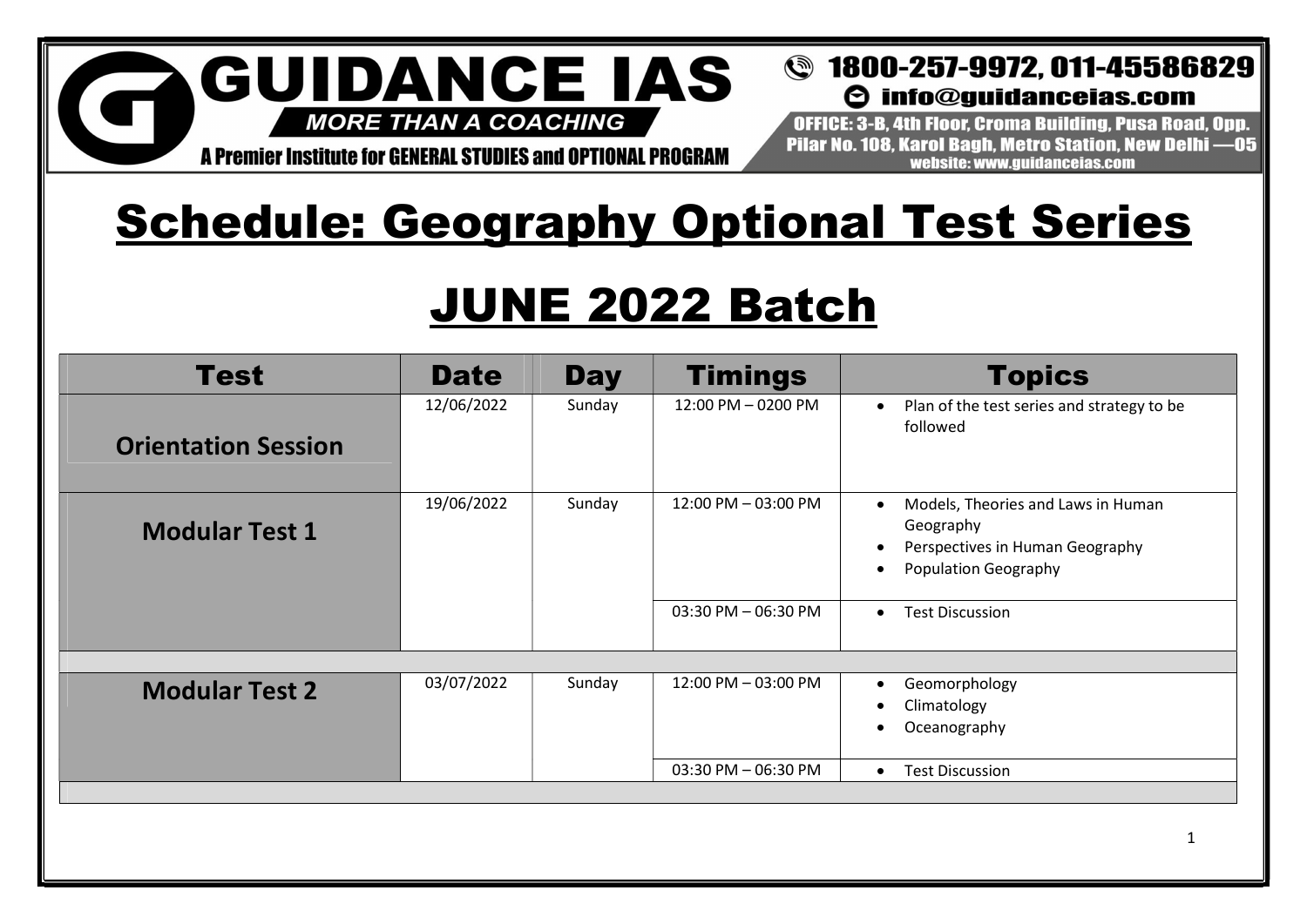## **GUIDANCE IAS MORE THAN A COACHING**

#### **@** 1800-257-9972, 011-45586829  $\Theta$  info@quidanceias.com

A Premier Institute for GENERAL STUDIES and OPTIONAL PROGRAM

OFFICE: 3-B. 4th Floor. Croma Building. Pusa Road. Opp. Pilar No. 108. Karol Bagh. Metro Station. New Delhi -05 website: www.quidanceias.com

# **Schedule: Geography Optional Test Series**

# JUNE 2022 Batch

| <b>Test</b>                | <b>Date</b> | <b>Day</b> | <b>Timings</b>      | <b>Topics</b>                                                                                                     |
|----------------------------|-------------|------------|---------------------|-------------------------------------------------------------------------------------------------------------------|
| <b>Orientation Session</b> | 12/06/2022  | Sunday     | 12:00 PM - 0200 PM  | Plan of the test series and strategy to be<br>followed                                                            |
| <b>Modular Test 1</b>      | 19/06/2022  | Sunday     | 12:00 PM - 03:00 PM | Models, Theories and Laws in Human<br>Geography<br>Perspectives in Human Geography<br><b>Population Geography</b> |
|                            |             |            | 03:30 PM - 06:30 PM | <b>Test Discussion</b><br>$\bullet$                                                                               |
|                            |             |            |                     |                                                                                                                   |
| <b>Modular Test 2</b>      | 03/07/2022  | Sunday     | 12:00 PM - 03:00 PM | Geomorphology<br>Climatology<br>Oceanography                                                                      |
|                            |             |            | 03:30 PM - 06:30 PM | <b>Test Discussion</b><br>$\bullet$                                                                               |
|                            |             |            |                     |                                                                                                                   |
|                            |             |            |                     | -1                                                                                                                |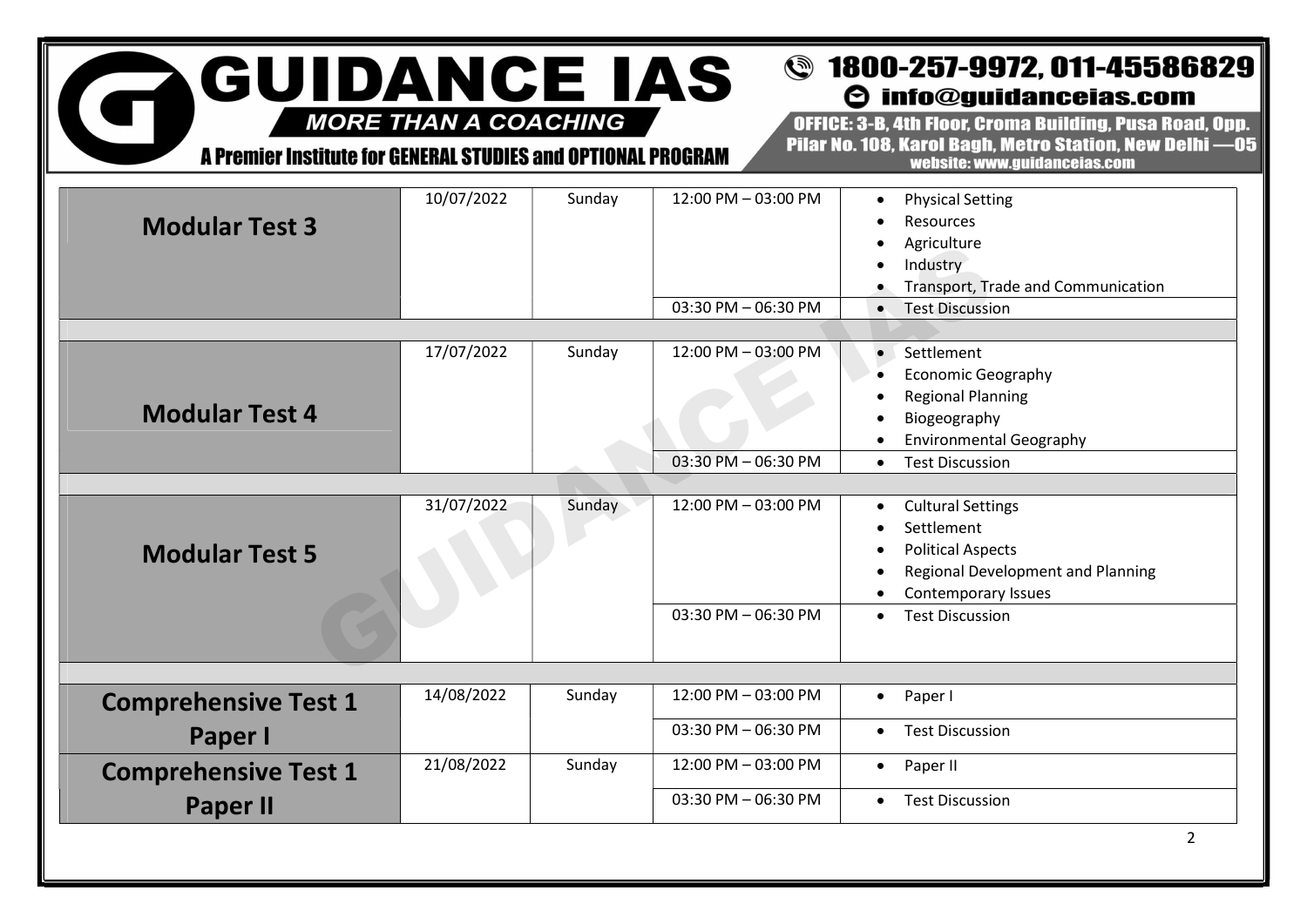#### **GUIDANCE IAS @** 1800-257-9972, 011-45586829  $\Theta$  info@guidanceias.com

**MORE THAN A COACHING** 

G

A Premier Institute for GENERAL STUDIES and OPTIONAL PROGRAM

OFFICE: 3-B. 4th Floor. Croma Building. Pusa Road. Opp. Pilar No. 108, Karol Bagh, Metro Station, New Delhi -05 website: www.guidanceias.com

| <b>Modular Test 3</b>                          | 10/07/2022 | Sunday | 12:00 PM - 03:00 PM<br>03:30 PM - 06:30 PM | <b>Physical Setting</b><br>$\bullet$<br>Resources<br>Agriculture<br>Industry<br>Transport, Trade and Communication<br><b>Test Discussion</b>                          |
|------------------------------------------------|------------|--------|--------------------------------------------|-----------------------------------------------------------------------------------------------------------------------------------------------------------------------|
| <b>Modular Test 4</b>                          | 17/07/2022 | Sunday | 12:00 PM - 03:00 PM<br>03:30 PM - 06:30 PM | Settlement<br><b>Economic Geography</b><br><b>Regional Planning</b><br>Biogeography<br><b>Environmental Geography</b><br><b>Test Discussion</b><br>$\bullet$          |
| <b>Modular Test 5</b>                          | 31/07/2022 | Sunday | 12:00 PM - 03:00 PM<br>03:30 PM - 06:30 PM | <b>Cultural Settings</b><br>Settlement<br><b>Political Aspects</b><br>Regional Development and Planning<br>Contemporary Issues<br><b>Test Discussion</b><br>$\bullet$ |
| <b>Comprehensive Test 1</b><br>Paper I         | 14/08/2022 | Sunday | 12:00 PM - 03:00 PM<br>03:30 PM - 06:30 PM | Paper I<br>$\bullet$<br><b>Test Discussion</b><br>$\bullet$                                                                                                           |
| <b>Comprehensive Test 1</b><br><b>Paper II</b> | 21/08/2022 | Sunday | 12:00 PM - 03:00 PM<br>03:30 PM - 06:30 PM | Paper II<br>$\bullet$<br><b>Test Discussion</b><br>$\bullet$<br>$\overline{2}$                                                                                        |